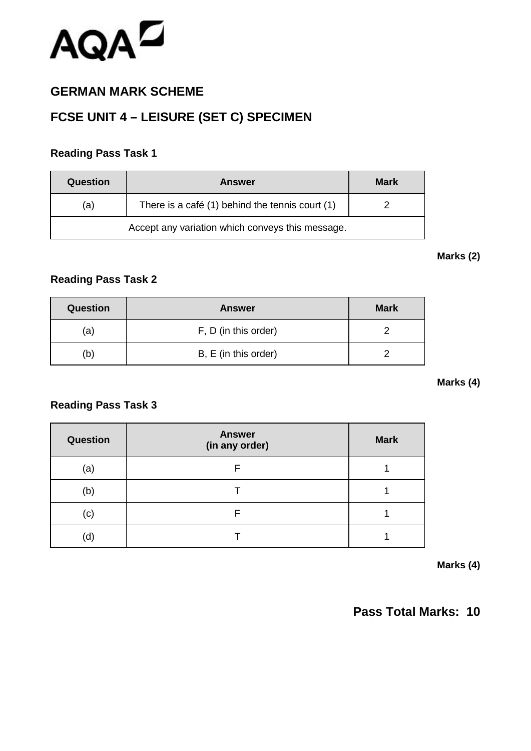

## **GERMAN MARK SCHEME**

## **FCSE UNIT 4 – LEISURE (SET C) SPECIMEN**

### **Reading Pass Task 1**

| Question                                         | <b>Answer</b>                                   | <b>Mark</b> |
|--------------------------------------------------|-------------------------------------------------|-------------|
| (a)                                              | There is a café (1) behind the tennis court (1) |             |
| Accept any variation which conveys this message. |                                                 |             |

#### **Marks (2)**

### **Reading Pass Task 2**

| <b>Question</b> | <b>Answer</b>        | <b>Mark</b> |
|-----------------|----------------------|-------------|
| (a)             | F, D (in this order) |             |
| b)              | B, E (in this order) |             |

#### **Marks (4)**

#### **Reading Pass Task 3**

| <b>Question</b> | <b>Answer</b><br>(in any order) | <b>Mark</b> |
|-----------------|---------------------------------|-------------|
| (a)             | F                               |             |
| (b)             |                                 |             |
| (c)             | F                               |             |
| (d)             |                                 |             |

**Marks (4)**

## **Pass Total Marks: 10**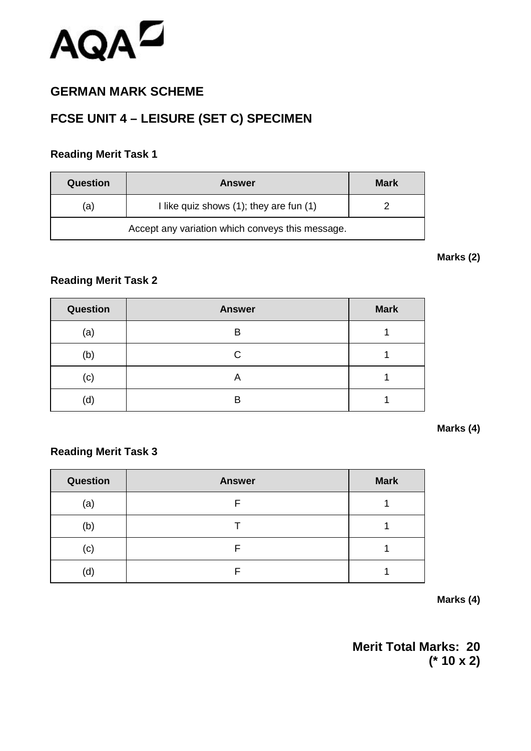

## **GERMAN MARK SCHEME**

# **FCSE UNIT 4 – LEISURE (SET C) SPECIMEN**

### **Reading Merit Task 1**

| Question | <b>Answer</b>                                | <b>Mark</b> |
|----------|----------------------------------------------|-------------|
| (a)      | I like quiz shows $(1)$ ; they are fun $(1)$ |             |
|          |                                              |             |

#### **Marks (2)**

## **Reading Merit Task 2**

| <b>Question</b> | <b>Answer</b> | <b>Mark</b> |
|-----------------|---------------|-------------|
| (a)             | В             |             |
| (b)             | С             |             |
| (c)             | A             |             |
| (d)             | В             |             |

#### **Marks (4)**

#### **Reading Merit Task 3**

| <b>Question</b> | <b>Answer</b> | <b>Mark</b> |
|-----------------|---------------|-------------|
| (a)             |               |             |
| (b)             |               |             |
| (c)             |               |             |
| (d)             |               |             |

**Marks (4)**

**Merit Total Marks: 20 (\* 10 x 2)**